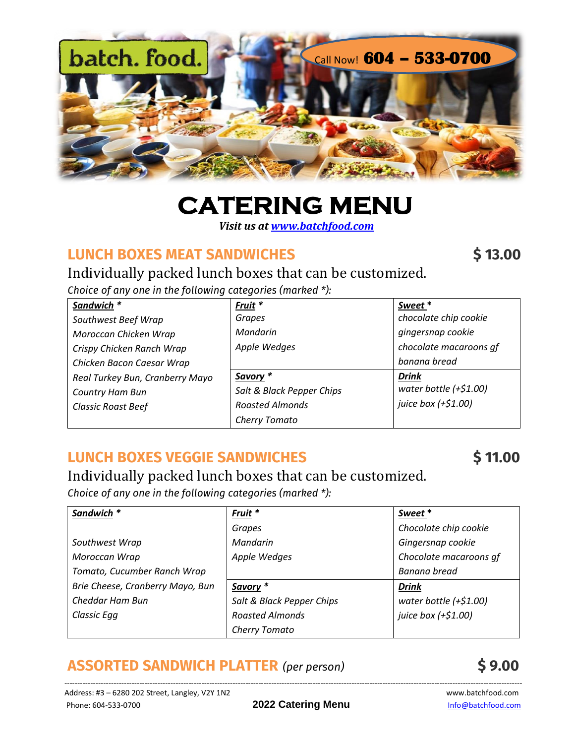

# **CATERING MENU**

 *Visit us a[t www.batchfood.com](http://www.batchfood.com/)*

## **LUNCH BOXES MEAT [SANDWICHES](https://www.batchfood.com/product/frittata-brunch-kit/) \$ 13.00**

Individually packed lunch boxes that can be customized.

*Choice of any one in the following categories (marked \*):*

| Sandwich *                      | Fruit *                   | Sweet*                  |
|---------------------------------|---------------------------|-------------------------|
| Southwest Beef Wrap             | Grapes                    | chocolate chip cookie   |
| Moroccan Chicken Wrap           | Mandarin                  | gingersnap cookie       |
| Crispy Chicken Ranch Wrap       | Apple Wedges              | chocolate macaroons qf  |
| Chicken Bacon Caesar Wrap       |                           | banana bread            |
| Real Turkey Bun, Cranberry Mayo | Savory *                  | <b>Drink</b>            |
| Country Ham Bun                 | Salt & Black Pepper Chips | water bottle $(+$1.00)$ |
| <b>Classic Roast Beef</b>       | <b>Roasted Almonds</b>    | juice box (+\$1.00)     |
|                                 | Cherry Tomato             |                         |

# **LUNCH BOXES VEGGIE [SANDWICHES](https://www.batchfood.com/product/frittata-brunch-kit/) \$ 11.0[0](https://www.batchfood.com/product/frittata-brunch-kit/)**

## Individually packed lunch boxes that can be customized.

*Choice of any one in the following categories (marked \*):*

| Sandwich *                       | Fruit <sup>*</sup>        | Sweet*                  |
|----------------------------------|---------------------------|-------------------------|
|                                  | Grapes                    | Chocolate chip cookie   |
| Southwest Wrap                   | Mandarin                  | Gingersnap cookie       |
| Moroccan Wrap                    | Apple Wedges              | Chocolate macaroons qf  |
| Tomato, Cucumber Ranch Wrap      |                           | Banana bread            |
| Brie Cheese, Cranberry Mayo, Bun | Savory *                  | <b>Drink</b>            |
| Cheddar Ham Bun                  | Salt & Black Pepper Chips | water bottle $(+$1.00)$ |
| Classic Egg                      | <b>Roasted Almonds</b>    | juice box (+\$1.00)     |
|                                  | Cherry Tomato             |                         |

# **ASSORTED SANDWICH PLATTER** *(per person)* **\$ 9.00**

---------------------------------------------------------------------------------------------------------------------------------------------------------------------------------